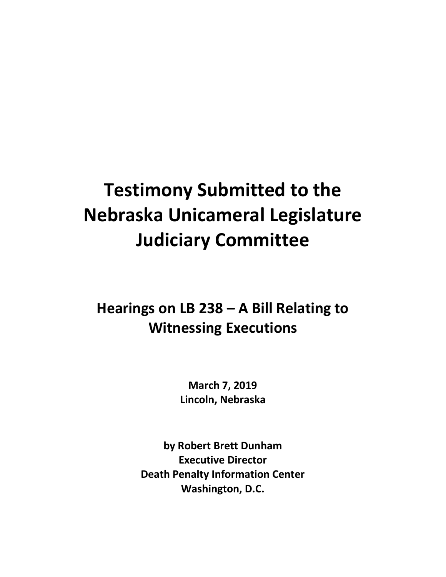## **Testimony Submitted to the Nebraska Unicameral Legislature Judiciary Committee**

## **Hearings on LB 238 – A Bill Relating to Witnessing Executions**

**March 7, 2019 Lincoln, Nebraska**

**by Robert Brett Dunham Executive Director Death Penalty Information Center Washington, D.C.**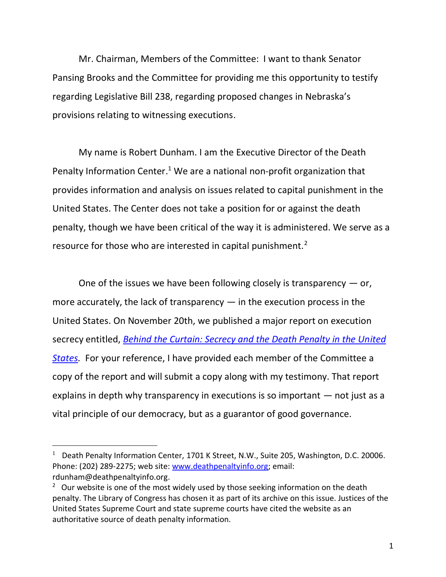Mr. Chairman, Members of the Committee: I want to thank Senator Pansing Brooks and the Committee for providing me this opportunity to testify regarding Legislative Bill 238, regarding proposed changes in Nebraska's provisions relating to witnessing executions.

My name is Robert Dunham. I am the Executive Director of the Death Penalty Information Center.<sup>1</sup> We are a national non-profit organization that provides information and analysis on issues related to capital punishment in the United States. The Center does not take a position for or against the death penalty, though we have been critical of the way it is administered. We serve as a resource for those who are interested in capital punishment.<sup>2</sup>

One of the issues we have been following closely is transparency  $-$  or, more accurately, the lack of transparency  $-$  in the execution process in the United States. On November 20th, we published a major report on execution secrecy entitled, *[Behind the Curtain: Secrecy and the Death Penalty in the United](https://deathpenaltyinfo.org/files/pdf/SecrecyReport.pdf)  [States.](https://deathpenaltyinfo.org/files/pdf/SecrecyReport.pdf)* For your reference, I have provided each member of the Committee a copy of the report and will submit a copy along with my testimony. That report explains in depth why transparency in executions is so important — not just as a vital principle of our democracy, but as a guarantor of good governance.

 $\overline{a}$ 

<sup>&</sup>lt;sup>1</sup> Death Penalty Information Center, 1701 K Street, N.W., Suite 205, Washington, D.C. 20006. Phone: (202) 289-2275; web site: [www.deathpenaltyinfo.org;](http://www.deathpenaltyinfo.org/) email: rdunham@deathpenaltyinfo.org.

<sup>&</sup>lt;sup>2</sup> Our website is one of the most widely used by those seeking information on the death penalty. The Library of Congress has chosen it as part of its archive on this issue. Justices of the United States Supreme Court and state supreme courts have cited the website as an authoritative source of death penalty information.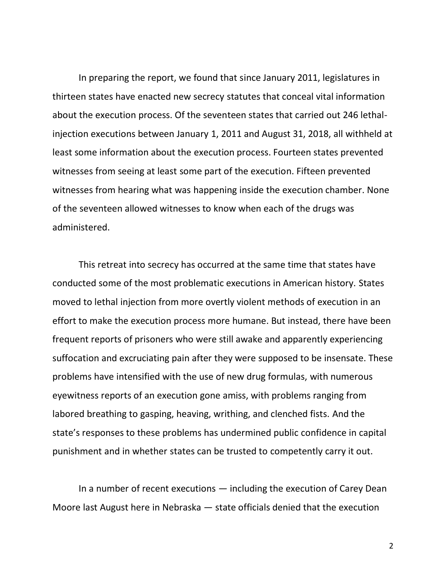In preparing the report, we found that since January 2011, legislatures in thirteen states have enacted new secrecy statutes that conceal vital information about the execution process. Of the seventeen states that carried out 246 lethalinjection executions between January 1, 2011 and August 31, 2018, all withheld at least some information about the execution process. Fourteen states prevented witnesses from seeing at least some part of the execution. Fifteen prevented witnesses from hearing what was happening inside the execution chamber. None of the seventeen allowed witnesses to know when each of the drugs was administered.

This retreat into secrecy has occurred at the same time that states have conducted some of the most problematic executions in American history. States moved to lethal injection from more overtly violent methods of execution in an effort to make the execution process more humane. But instead, there have been frequent reports of prisoners who were still awake and apparently experiencing suffocation and excruciating pain after they were supposed to be insensate. These problems have intensified with the use of new drug formulas, with numerous eyewitness reports of an execution gone amiss, with problems ranging from labored breathing to gasping, heaving, writhing, and clenched fists. And the state's responses to these problems has undermined public confidence in capital punishment and in whether states can be trusted to competently carry it out.

In a number of recent executions — including the execution of Carey Dean Moore last August here in Nebraska — state officials denied that the execution

2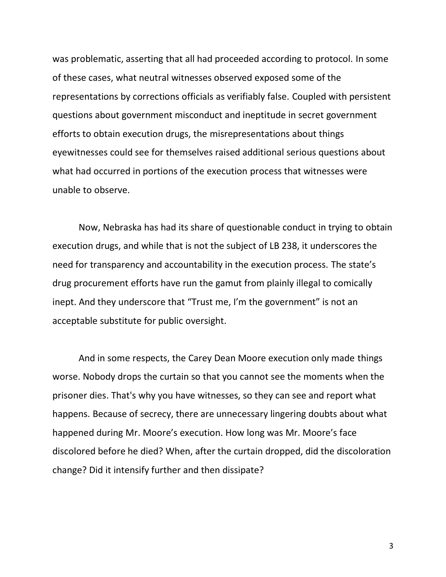was problematic, asserting that all had proceeded according to protocol. In some of these cases, what neutral witnesses observed exposed some of the representations by corrections officials as verifiably false. Coupled with persistent questions about government misconduct and ineptitude in secret government efforts to obtain execution drugs, the misrepresentations about things eyewitnesses could see for themselves raised additional serious questions about what had occurred in portions of the execution process that witnesses were unable to observe.

Now, Nebraska has had its share of questionable conduct in trying to obtain execution drugs, and while that is not the subject of LB 238, it underscores the need for transparency and accountability in the execution process. The state's drug procurement efforts have run the gamut from plainly illegal to comically inept. And they underscore that "Trust me, I'm the government" is not an acceptable substitute for public oversight.

And in some respects, the Carey Dean Moore execution only made things worse. Nobody drops the curtain so that you cannot see the moments when the prisoner dies. That's why you have witnesses, so they can see and report what happens. Because of secrecy, there are unnecessary lingering doubts about what happened during Mr. Moore's execution. How long was Mr. Moore's face discolored before he died? When, after the curtain dropped, did the discoloration change? Did it intensify further and then dissipate?

3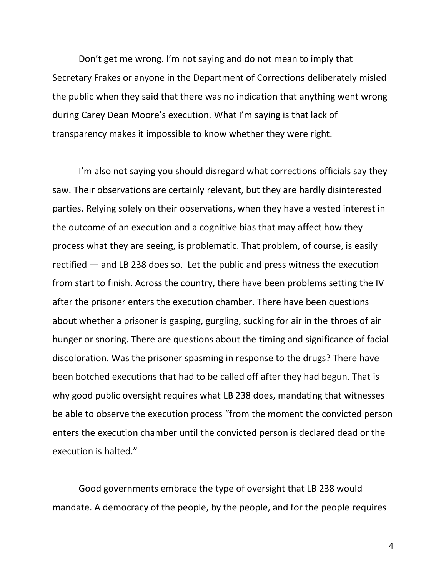Don't get me wrong. I'm not saying and do not mean to imply that Secretary Frakes or anyone in the Department of Corrections deliberately misled the public when they said that there was no indication that anything went wrong during Carey Dean Moore's execution. What I'm saying is that lack of transparency makes it impossible to know whether they were right.

I'm also not saying you should disregard what corrections officials say they saw. Their observations are certainly relevant, but they are hardly disinterested parties. Relying solely on their observations, when they have a vested interest in the outcome of an execution and a cognitive bias that may affect how they process what they are seeing, is problematic. That problem, of course, is easily rectified — and LB 238 does so. Let the public and press witness the execution from start to finish. Across the country, there have been problems setting the IV after the prisoner enters the execution chamber. There have been questions about whether a prisoner is gasping, gurgling, sucking for air in the throes of air hunger or snoring. There are questions about the timing and significance of facial discoloration. Was the prisoner spasming in response to the drugs? There have been botched executions that had to be called off after they had begun. That is why good public oversight requires what LB 238 does, mandating that witnesses be able to observe the execution process "from the moment the convicted person enters the execution chamber until the convicted person is declared dead or the execution is halted."

Good governments embrace the type of oversight that LB 238 would mandate. A democracy of the people, by the people, and for the people requires